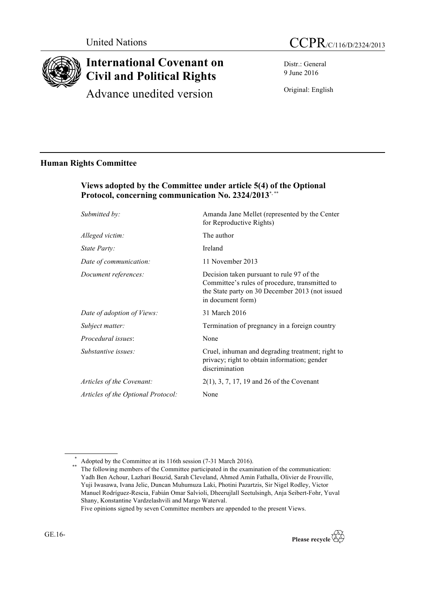

# **International Covenant on Civil and Political Rights**

Advance unedited version

Distr.: General 9 June 2016

Original: English

## **Human Rights Committee**

## **Views adopted by the Committee under article 5(4) of the Optional**  Protocol, concerning communication No. 2324/2013<sup>\*,\*\*</sup>

| Submitted by:                      | Amanda Jane Mellet (represented by the Center<br>for Reproductive Rights)                                                                                           |
|------------------------------------|---------------------------------------------------------------------------------------------------------------------------------------------------------------------|
| Alleged victim:                    | The author                                                                                                                                                          |
| State Party:                       | Ireland                                                                                                                                                             |
| Date of communication:             | 11 November 2013                                                                                                                                                    |
| Document references:               | Decision taken pursuant to rule 97 of the<br>Committee's rules of procedure, transmitted to<br>the State party on 30 December 2013 (not issued<br>in document form) |
| Date of adoption of Views:         | 31 March 2016                                                                                                                                                       |
| Subject matter:                    | Termination of pregnancy in a foreign country                                                                                                                       |
| Procedural issues:                 | None                                                                                                                                                                |
| Substantive issues:                | Cruel, inhuman and degrading treatment; right to<br>privacy; right to obtain information; gender<br>discrimination                                                  |
| Articles of the Covenant:          | $2(1)$ , 3, 7, 17, 19 and 26 of the Covenant                                                                                                                        |
| Articles of the Optional Protocol: | None                                                                                                                                                                |
|                                    |                                                                                                                                                                     |

<sup>\*</sup> Adopted by the Committee at its 116th session (7-31 March 2016).<br>
<sup>\*\*</sup> The following members of the Committee participated in the examination of the communication: Yadh Ben Achour, Lazhari Bouzid, Sarah Cleveland, Ahmed Amin Fathalla, Olivier de Frouville, Yuji Iwasawa, Ivana Jelic, Duncan Muhumuza Laki, Photini Pazartzis, Sir Nigel Rodley, Victor Manuel Rodríguez-Rescia, Fabián Omar Salvioli, Dheerujlall Seetulsingh, Anja Seibert-Fohr, Yuval Shany, Konstantine Vardzelashvili and Margo Waterval. Five opinions signed by seven Committee members are appended to the present Views.

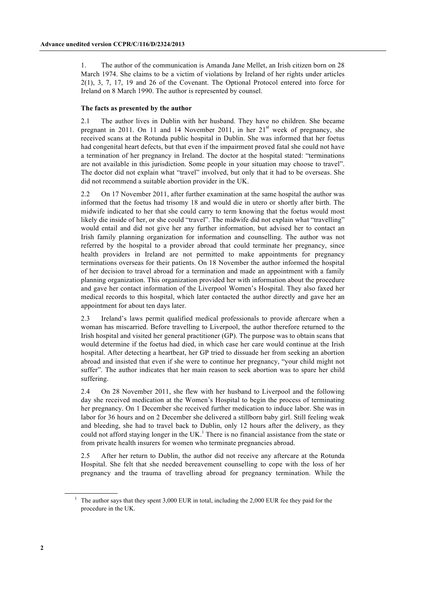1. The author of the communication is Amanda Jane Mellet, an Irish citizen born on 28 March 1974. She claims to be a victim of violations by Ireland of her rights under articles 2(1), 3, 7, 17, 19 and 26 of the Covenant. The Optional Protocol entered into force for Ireland on 8 March 1990. The author is represented by counsel.

#### **The facts as presented by the author**

2.1 The author lives in Dublin with her husband. They have no children. She became pregnant in 2011. On 11 and 14 November 2011, in her  $21<sup>st</sup>$  week of pregnancy, she received scans at the Rotunda public hospital in Dublin. She was informed that her foetus had congenital heart defects, but that even if the impairment proved fatal she could not have a termination of her pregnancy in Ireland. The doctor at the hospital stated: "terminations are not available in this jurisdiction. Some people in your situation may choose to travel". The doctor did not explain what "travel" involved, but only that it had to be overseas. She did not recommend a suitable abortion provider in the UK.

2.2 On 17 November 2011, after further examination at the same hospital the author was informed that the foetus had trisomy 18 and would die in utero or shortly after birth. The midwife indicated to her that she could carry to term knowing that the foetus would most likely die inside of her, or she could "travel". The midwife did not explain what "travelling" would entail and did not give her any further information, but advised her to contact an Irish family planning organization for information and counselling. The author was not referred by the hospital to a provider abroad that could terminate her pregnancy, since health providers in Ireland are not permitted to make appointments for pregnancy terminations overseas for their patients. On 18 November the author informed the hospital of her decision to travel abroad for a termination and made an appointment with a family planning organization. This organization provided her with information about the procedure and gave her contact information of the Liverpool Women's Hospital. They also faxed her medical records to this hospital, which later contacted the author directly and gave her an appointment for about ten days later.

2.3 Ireland's laws permit qualified medical professionals to provide aftercare when a woman has miscarried. Before travelling to Liverpool, the author therefore returned to the Irish hospital and visited her general practitioner (GP). The purpose was to obtain scans that would determine if the foetus had died, in which case her care would continue at the Irish hospital. After detecting a heartbeat, her GP tried to dissuade her from seeking an abortion abroad and insisted that even if she were to continue her pregnancy, "your child might not suffer". The author indicates that her main reason to seek abortion was to spare her child suffering.

2.4 On 28 November 2011, she flew with her husband to Liverpool and the following day she received medication at the Women's Hospital to begin the process of terminating her pregnancy. On 1 December she received further medication to induce labor. She was in labor for 36 hours and on 2 December she delivered a stillborn baby girl. Still feeling weak and bleeding, she had to travel back to Dublin, only 12 hours after the delivery, as they could not afford staying longer in the UK.<sup>1</sup> There is no financial assistance from the state or from private health insurers for women who terminate pregnancies abroad.

2.5 After her return to Dublin, the author did not receive any aftercare at the Rotunda Hospital. She felt that she needed bereavement counselling to cope with the loss of her pregnancy and the trauma of travelling abroad for pregnancy termination. While the

<sup>1</sup> The author says that they spent 3,000 EUR in total, including the 2,000 EUR fee they paid for the procedure in the UK.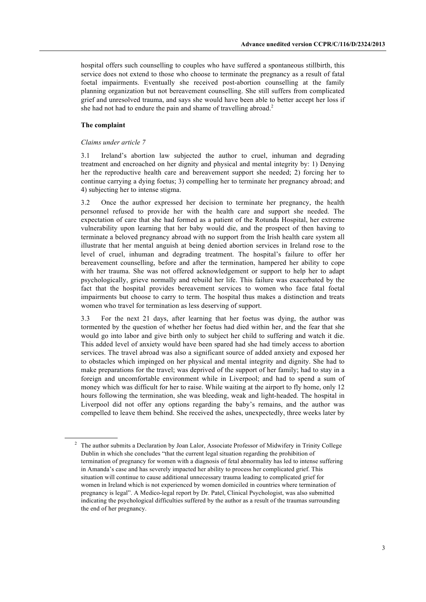hospital offers such counselling to couples who have suffered a spontaneous stillbirth, this service does not extend to those who choose to terminate the pregnancy as a result of fatal foetal impairments. Eventually she received post-abortion counselling at the family planning organization but not bereavement counselling. She still suffers from complicated grief and unresolved trauma, and says she would have been able to better accept her loss if she had not had to endure the pain and shame of travelling abroad.<sup>2</sup>

#### **The complaint**

#### *Claims under article 7*

3.1 Ireland's abortion law subjected the author to cruel, inhuman and degrading treatment and encroached on her dignity and physical and mental integrity by: 1) Denying her the reproductive health care and bereavement support she needed; 2) forcing her to continue carrying a dying foetus; 3) compelling her to terminate her pregnancy abroad; and 4) subjecting her to intense stigma.

3.2 Once the author expressed her decision to terminate her pregnancy, the health personnel refused to provide her with the health care and support she needed. The expectation of care that she had formed as a patient of the Rotunda Hospital, her extreme vulnerability upon learning that her baby would die, and the prospect of then having to terminate a beloved pregnancy abroad with no support from the Irish health care system all illustrate that her mental anguish at being denied abortion services in Ireland rose to the level of cruel, inhuman and degrading treatment. The hospital's failure to offer her bereavement counselling, before and after the termination, hampered her ability to cope with her trauma. She was not offered acknowledgement or support to help her to adapt psychologically, grieve normally and rebuild her life. This failure was exacerbated by the fact that the hospital provides bereavement services to women who face fatal foetal impairments but choose to carry to term. The hospital thus makes a distinction and treats women who travel for termination as less deserving of support.

3.3 For the next 21 days, after learning that her foetus was dying, the author was tormented by the question of whether her foetus had died within her, and the fear that she would go into labor and give birth only to subject her child to suffering and watch it die. This added level of anxiety would have been spared had she had timely access to abortion services. The travel abroad was also a significant source of added anxiety and exposed her to obstacles which impinged on her physical and mental integrity and dignity. She had to make preparations for the travel; was deprived of the support of her family; had to stay in a foreign and uncomfortable environment while in Liverpool; and had to spend a sum of money which was difficult for her to raise. While waiting at the airport to fly home, only 12 hours following the termination, she was bleeding, weak and light-headed. The hospital in Liverpool did not offer any options regarding the baby's remains, and the author was compelled to leave them behind. She received the ashes, unexpectedly, three weeks later by

<sup>&</sup>lt;sup>2</sup> The author submits a Declaration by Joan Lalor, Associate Professor of Midwifery in Trinity College Dublin in which she concludes "that the current legal situation regarding the prohibition of termination of pregnancy for women with a diagnosis of fetal abnormality has led to intense suffering in Amanda's case and has severely impacted her ability to process her complicated grief. This situation will continue to cause additional unnecessary trauma leading to complicated grief for women in Ireland which is not experienced by women domiciled in countries where termination of pregnancy is legal". A Medico-legal report by Dr. Patel, Clinical Psychologist, was also submitted indicating the psychological difficulties suffered by the author as a result of the traumas surrounding the end of her pregnancy.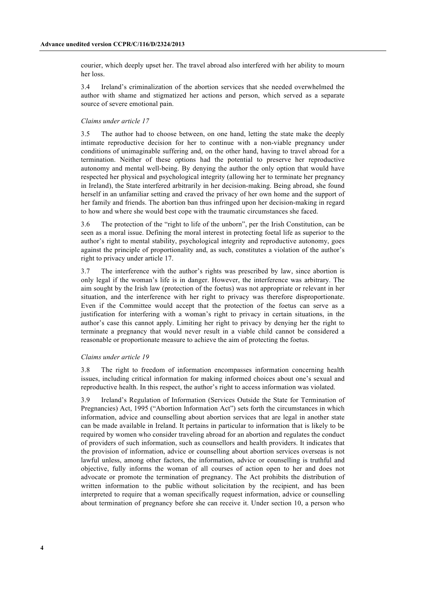courier, which deeply upset her. The travel abroad also interfered with her ability to mourn her loss.

3.4 Ireland's criminalization of the abortion services that she needed overwhelmed the author with shame and stigmatized her actions and person, which served as a separate source of severe emotional pain.

#### *Claims under article 17*

3.5 The author had to choose between, on one hand, letting the state make the deeply intimate reproductive decision for her to continue with a non-viable pregnancy under conditions of unimaginable suffering and, on the other hand, having to travel abroad for a termination. Neither of these options had the potential to preserve her reproductive autonomy and mental well-being. By denying the author the only option that would have respected her physical and psychological integrity (allowing her to terminate her pregnancy in Ireland), the State interfered arbitrarily in her decision-making. Being abroad, she found herself in an unfamiliar setting and craved the privacy of her own home and the support of her family and friends. The abortion ban thus infringed upon her decision-making in regard to how and where she would best cope with the traumatic circumstances she faced.

3.6 The protection of the "right to life of the unborn", per the Irish Constitution, can be seen as a moral issue. Defining the moral interest in protecting foetal life as superior to the author's right to mental stability, psychological integrity and reproductive autonomy, goes against the principle of proportionality and, as such, constitutes a violation of the author's right to privacy under article 17.

3.7 The interference with the author's rights was prescribed by law, since abortion is only legal if the woman's life is in danger. However, the interference was arbitrary. The aim sought by the Irish law (protection of the foetus) was not appropriate or relevant in her situation, and the interference with her right to privacy was therefore disproportionate. Even if the Committee would accept that the protection of the foetus can serve as a justification for interfering with a woman's right to privacy in certain situations, in the author's case this cannot apply. Limiting her right to privacy by denying her the right to terminate a pregnancy that would never result in a viable child cannot be considered a reasonable or proportionate measure to achieve the aim of protecting the foetus.

#### *Claims under article 19*

3.8 The right to freedom of information encompasses information concerning health issues, including critical information for making informed choices about one's sexual and reproductive health. In this respect, the author's right to access information was violated.

3.9 Ireland's Regulation of Information (Services Outside the State for Termination of Pregnancies) Act, 1995 ("Abortion Information Act") sets forth the circumstances in which information, advice and counselling about abortion services that are legal in another state can be made available in Ireland. It pertains in particular to information that is likely to be required by women who consider traveling abroad for an abortion and regulates the conduct of providers of such information, such as counsellors and health providers. It indicates that the provision of information, advice or counselling about abortion services overseas is not lawful unless, among other factors, the information, advice or counselling is truthful and objective, fully informs the woman of all courses of action open to her and does not advocate or promote the termination of pregnancy. The Act prohibits the distribution of written information to the public without solicitation by the recipient, and has been interpreted to require that a woman specifically request information, advice or counselling about termination of pregnancy before she can receive it. Under section 10, a person who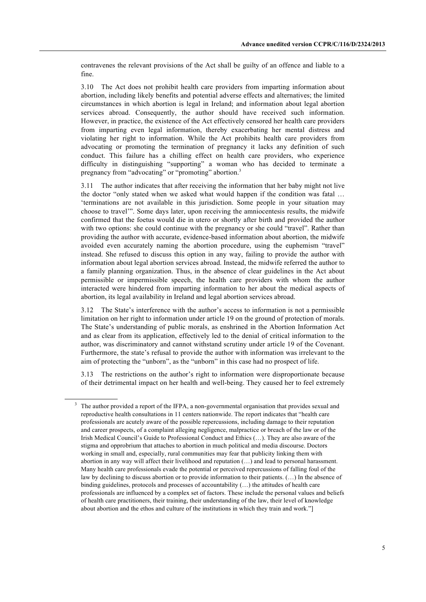contravenes the relevant provisions of the Act shall be guilty of an offence and liable to a fine.

3.10 The Act does not prohibit health care providers from imparting information about abortion, including likely benefits and potential adverse effects and alternatives; the limited circumstances in which abortion is legal in Ireland; and information about legal abortion services abroad. Consequently, the author should have received such information. However, in practice, the existence of the Act effectively censored her health care providers from imparting even legal information, thereby exacerbating her mental distress and violating her right to information. While the Act prohibits health care providers from advocating or promoting the termination of pregnancy it lacks any definition of such conduct. This failure has a chilling effect on health care providers, who experience difficulty in distinguishing "supporting" a woman who has decided to terminate a pregnancy from "advocating" or "promoting" abortion.<sup>3</sup>

3.11 The author indicates that after receiving the information that her baby might not live the doctor "only stated when we asked what would happen if the condition was fatal … 'terminations are not available in this jurisdiction. Some people in your situation may choose to travel'". Some days later, upon receiving the amniocentesis results, the midwife confirmed that the foetus would die in utero or shortly after birth and provided the author with two options: she could continue with the pregnancy or she could "travel". Rather than providing the author with accurate, evidence-based information about abortion, the midwife avoided even accurately naming the abortion procedure, using the euphemism "travel" instead. She refused to discuss this option in any way, failing to provide the author with information about legal abortion services abroad. Instead, the midwife referred the author to a family planning organization. Thus, in the absence of clear guidelines in the Act about permissible or impermissible speech, the health care providers with whom the author interacted were hindered from imparting information to her about the medical aspects of abortion, its legal availability in Ireland and legal abortion services abroad.

3.12 The State's interference with the author's access to information is not a permissible limitation on her right to information under article 19 on the ground of protection of morals. The State's understanding of public morals, as enshrined in the Abortion Information Act and as clear from its application, effectively led to the denial of critical information to the author, was discriminatory and cannot withstand scrutiny under article 19 of the Covenant. Furthermore, the state's refusal to provide the author with information was irrelevant to the aim of protecting the "unborn", as the "unborn" in this case had no prospect of life.

3.13 The restrictions on the author's right to information were disproportionate because of their detrimental impact on her health and well-being. They caused her to feel extremely

The author provided a report of the IFPA, a non-governmental organisation that provides sexual and reproductive health consultations in 11 centers nationwide. The report indicates that "health care professionals are acutely aware of the possible repercussions, including damage to their reputation and career prospects, of a complaint alleging negligence, malpractice or breach of the law or of the Irish Medical Council's Guide to Professional Conduct and Ethics (…). They are also aware of the stigma and opprobrium that attaches to abortion in much political and media discourse. Doctors working in small and, especially, rural communities may fear that publicity linking them with abortion in any way will affect their livelihood and reputation (…) and lead to personal harassment. Many health care professionals evade the potential or perceived repercussions of falling foul of the law by declining to discuss abortion or to provide information to their patients. (…) In the absence of binding guidelines, protocols and processes of accountability  $(...)$  the attitudes of health care professionals are influenced by a complex set of factors. These include the personal values and beliefs of health care practitioners, their training, their understanding of the law, their level of knowledge about abortion and the ethos and culture of the institutions in which they train and work."]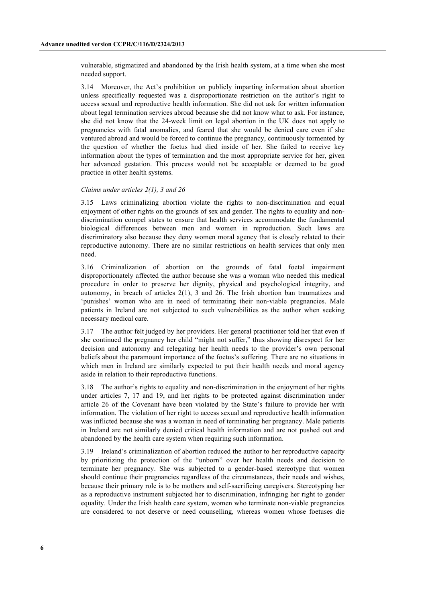vulnerable, stigmatized and abandoned by the Irish health system, at a time when she most needed support.

3.14 Moreover, the Act's prohibition on publicly imparting information about abortion unless specifically requested was a disproportionate restriction on the author's right to access sexual and reproductive health information. She did not ask for written information about legal termination services abroad because she did not know what to ask. For instance, she did not know that the 24-week limit on legal abortion in the UK does not apply to pregnancies with fatal anomalies, and feared that she would be denied care even if she ventured abroad and would be forced to continue the pregnancy, continuously tormented by the question of whether the foetus had died inside of her. She failed to receive key information about the types of termination and the most appropriate service for her, given her advanced gestation. This process would not be acceptable or deemed to be good practice in other health systems.

#### *Claims under articles 2(1), 3 and 26*

3.15 Laws criminalizing abortion violate the rights to non-discrimination and equal enjoyment of other rights on the grounds of sex and gender. The rights to equality and nondiscrimination compel states to ensure that health services accommodate the fundamental biological differences between men and women in reproduction. Such laws are discriminatory also because they deny women moral agency that is closely related to their reproductive autonomy. There are no similar restrictions on health services that only men need.

3.16 Criminalization of abortion on the grounds of fatal foetal impairment disproportionately affected the author because she was a woman who needed this medical procedure in order to preserve her dignity, physical and psychological integrity, and autonomy, in breach of articles 2(1), 3 and 26. The Irish abortion ban traumatizes and 'punishes' women who are in need of terminating their non-viable pregnancies. Male patients in Ireland are not subjected to such vulnerabilities as the author when seeking necessary medical care.

3.17 The author felt judged by her providers. Her general practitioner told her that even if she continued the pregnancy her child "might not suffer," thus showing disrespect for her decision and autonomy and relegating her health needs to the provider's own personal beliefs about the paramount importance of the foetus's suffering. There are no situations in which men in Ireland are similarly expected to put their health needs and moral agency aside in relation to their reproductive functions.

3.18 The author's rights to equality and non-discrimination in the enjoyment of her rights under articles 7, 17 and 19, and her rights to be protected against discrimination under article 26 of the Covenant have been violated by the State's failure to provide her with information. The violation of her right to access sexual and reproductive health information was inflicted because she was a woman in need of terminating her pregnancy. Male patients in Ireland are not similarly denied critical health information and are not pushed out and abandoned by the health care system when requiring such information.

3.19 Ireland's criminalization of abortion reduced the author to her reproductive capacity by prioritizing the protection of the "unborn" over her health needs and decision to terminate her pregnancy. She was subjected to a gender-based stereotype that women should continue their pregnancies regardless of the circumstances, their needs and wishes, because their primary role is to be mothers and self-sacrificing caregivers. Stereotyping her as a reproductive instrument subjected her to discrimination, infringing her right to gender equality. Under the Irish health care system, women who terminate non-viable pregnancies are considered to not deserve or need counselling, whereas women whose foetuses die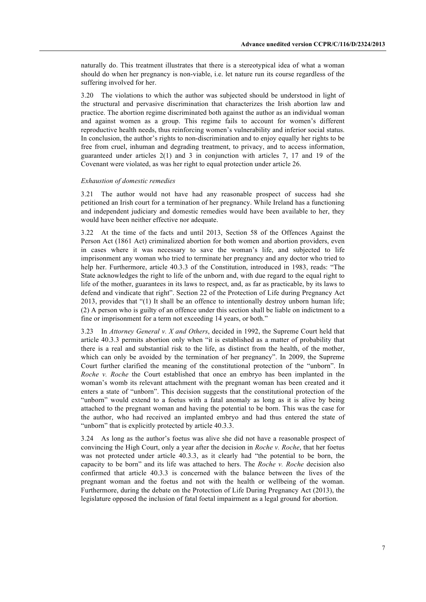naturally do. This treatment illustrates that there is a stereotypical idea of what a woman should do when her pregnancy is non-viable, i.e. let nature run its course regardless of the suffering involved for her.

3.20 The violations to which the author was subjected should be understood in light of the structural and pervasive discrimination that characterizes the Irish abortion law and practice. The abortion regime discriminated both against the author as an individual woman and against women as a group. This regime fails to account for women's different reproductive health needs, thus reinforcing women's vulnerability and inferior social status. In conclusion, the author's rights to non-discrimination and to enjoy equally her rights to be free from cruel, inhuman and degrading treatment, to privacy, and to access information, guaranteed under articles 2(1) and 3 in conjunction with articles 7, 17 and 19 of the Covenant were violated, as was her right to equal protection under article 26.

#### *Exhaustion of domestic remedies*

3.21 The author would not have had any reasonable prospect of success had she petitioned an Irish court for a termination of her pregnancy. While Ireland has a functioning and independent judiciary and domestic remedies would have been available to her, they would have been neither effective nor adequate.

3.22 At the time of the facts and until 2013, Section 58 of the Offences Against the Person Act (1861 Act) criminalized abortion for both women and abortion providers, even in cases where it was necessary to save the woman's life, and subjected to life imprisonment any woman who tried to terminate her pregnancy and any doctor who tried to help her. Furthermore, article 40.3.3 of the Constitution, introduced in 1983, reads: "The State acknowledges the right to life of the unborn and, with due regard to the equal right to life of the mother, guarantees in its laws to respect, and, as far as practicable, by its laws to defend and vindicate that right". Section 22 of the Protection of Life during Pregnancy Act 2013, provides that "(1) It shall be an offence to intentionally destroy unborn human life; (2) A person who is guilty of an offence under this section shall be liable on indictment to a fine or imprisonment for a term not exceeding 14 years, or both."

3.23 In *Attorney General v. X and Others*, decided in 1992, the Supreme Court held that article 40.3.3 permits abortion only when "it is established as a matter of probability that there is a real and substantial risk to the life, as distinct from the health, of the mother, which can only be avoided by the termination of her pregnancy". In 2009, the Supreme Court further clarified the meaning of the constitutional protection of the "unborn". In *Roche v. Roche* the Court established that once an embryo has been implanted in the woman's womb its relevant attachment with the pregnant woman has been created and it enters a state of "unborn". This decision suggests that the constitutional protection of the "unborn" would extend to a foetus with a fatal anomaly as long as it is alive by being attached to the pregnant woman and having the potential to be born. This was the case for the author, who had received an implanted embryo and had thus entered the state of "unborn" that is explicitly protected by article 40.3.3.

3.24 As long as the author's foetus was alive she did not have a reasonable prospect of convincing the High Court, only a year after the decision in *Roche v. Roche*, that her foetus was not protected under article 40.3.3, as it clearly had "the potential to be born, the capacity to be born" and its life was attached to hers. The *Roche v. Roche* decision also confirmed that article 40.3.3 is concerned with the balance between the lives of the pregnant woman and the foetus and not with the health or wellbeing of the woman. Furthermore, during the debate on the Protection of Life During Pregnancy Act (2013), the legislature opposed the inclusion of fatal foetal impairment as a legal ground for abortion.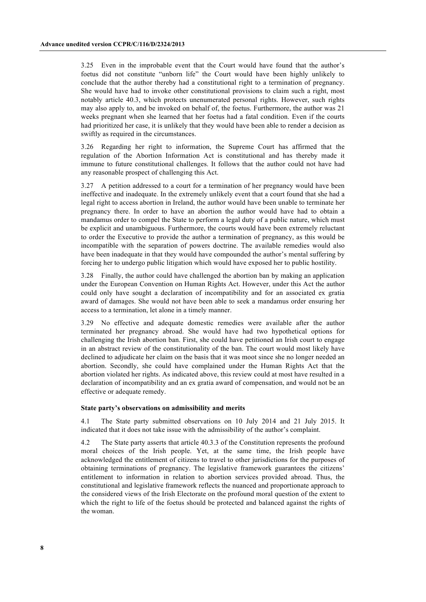3.25 Even in the improbable event that the Court would have found that the author's foetus did not constitute "unborn life" the Court would have been highly unlikely to conclude that the author thereby had a constitutional right to a termination of pregnancy. She would have had to invoke other constitutional provisions to claim such a right, most notably article 40.3, which protects unenumerated personal rights. However, such rights may also apply to, and be invoked on behalf of, the foetus. Furthermore, the author was 21 weeks pregnant when she learned that her foetus had a fatal condition. Even if the courts had prioritized her case, it is unlikely that they would have been able to render a decision as swiftly as required in the circumstances.

3.26 Regarding her right to information, the Supreme Court has affirmed that the regulation of the Abortion Information Act is constitutional and has thereby made it immune to future constitutional challenges. It follows that the author could not have had any reasonable prospect of challenging this Act.

3.27 A petition addressed to a court for a termination of her pregnancy would have been ineffective and inadequate. In the extremely unlikely event that a court found that she had a legal right to access abortion in Ireland, the author would have been unable to terminate her pregnancy there. In order to have an abortion the author would have had to obtain a mandamus order to compel the State to perform a legal duty of a public nature, which must be explicit and unambiguous. Furthermore, the courts would have been extremely reluctant to order the Executive to provide the author a termination of pregnancy, as this would be incompatible with the separation of powers doctrine. The available remedies would also have been inadequate in that they would have compounded the author's mental suffering by forcing her to undergo public litigation which would have exposed her to public hostility.

3.28 Finally, the author could have challenged the abortion ban by making an application under the European Convention on Human Rights Act. However, under this Act the author could only have sought a declaration of incompatibility and for an associated ex gratia award of damages. She would not have been able to seek a mandamus order ensuring her access to a termination, let alone in a timely manner.

3.29 No effective and adequate domestic remedies were available after the author terminated her pregnancy abroad. She would have had two hypothetical options for challenging the Irish abortion ban. First, she could have petitioned an Irish court to engage in an abstract review of the constitutionality of the ban. The court would most likely have declined to adjudicate her claim on the basis that it was moot since she no longer needed an abortion. Secondly, she could have complained under the Human Rights Act that the abortion violated her rights. As indicated above, this review could at most have resulted in a declaration of incompatibility and an ex gratia award of compensation, and would not be an effective or adequate remedy.

#### **State party's observations on admissibility and merits**

4.1 The State party submitted observations on 10 July 2014 and 21 July 2015. It indicated that it does not take issue with the admissibility of the author's complaint.

4.2 The State party asserts that article 40.3.3 of the Constitution represents the profound moral choices of the Irish people. Yet, at the same time, the Irish people have acknowledged the entitlement of citizens to travel to other jurisdictions for the purposes of obtaining terminations of pregnancy. The legislative framework guarantees the citizens' entitlement to information in relation to abortion services provided abroad. Thus, the constitutional and legislative framework reflects the nuanced and proportionate approach to the considered views of the Irish Electorate on the profound moral question of the extent to which the right to life of the foetus should be protected and balanced against the rights of the woman.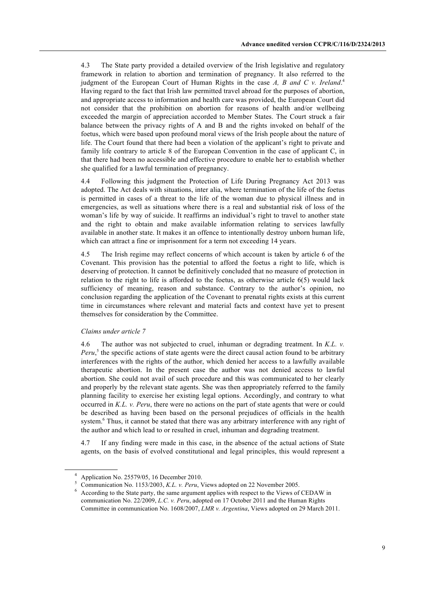4.3 The State party provided a detailed overview of the Irish legislative and regulatory framework in relation to abortion and termination of pregnancy. It also referred to the judgment of the European Court of Human Rights in the case *A, B and C v. Ireland*. 4 Having regard to the fact that Irish law permitted travel abroad for the purposes of abortion, and appropriate access to information and health care was provided, the European Court did not consider that the prohibition on abortion for reasons of health and/or wellbeing exceeded the margin of appreciation accorded to Member States. The Court struck a fair balance between the privacy rights of A and B and the rights invoked on behalf of the foetus, which were based upon profound moral views of the Irish people about the nature of life. The Court found that there had been a violation of the applicant's right to private and family life contrary to article 8 of the European Convention in the case of applicant C, in that there had been no accessible and effective procedure to enable her to establish whether she qualified for a lawful termination of pregnancy.

4.4 Following this judgment the Protection of Life During Pregnancy Act 2013 was adopted. The Act deals with situations, inter alia, where termination of the life of the foetus is permitted in cases of a threat to the life of the woman due to physical illness and in emergencies, as well as situations where there is a real and substantial risk of loss of the woman's life by way of suicide. It reaffirms an individual's right to travel to another state and the right to obtain and make available information relating to services lawfully available in another state. It makes it an offence to intentionally destroy unborn human life, which can attract a fine or imprisonment for a term not exceeding 14 years.

4.5 The Irish regime may reflect concerns of which account is taken by article 6 of the Covenant. This provision has the potential to afford the foetus a right to life, which is deserving of protection. It cannot be definitively concluded that no measure of protection in relation to the right to life is afforded to the foetus, as otherwise article 6(5) would lack sufficiency of meaning, reason and substance. Contrary to the author's opinion, no conclusion regarding the application of the Covenant to prenatal rights exists at this current time in circumstances where relevant and material facts and context have yet to present themselves for consideration by the Committee.

#### *Claims under article 7*

4.6 The author was not subjected to cruel, inhuman or degrading treatment. In *K.L. v. Peru*, <sup>5</sup> the specific actions of state agents were the direct causal action found to be arbitrary interferences with the rights of the author, which denied her access to a lawfully available therapeutic abortion. In the present case the author was not denied access to lawful abortion. She could not avail of such procedure and this was communicated to her clearly and properly by the relevant state agents. She was then appropriately referred to the family planning facility to exercise her existing legal options. Accordingly, and contrary to what occurred in *K.L. v. Peru*, there were no actions on the part of state agents that were or could be described as having been based on the personal prejudices of officials in the health system.<sup>6</sup> Thus, it cannot be stated that there was any arbitrary interference with any right of the author and which lead to or resulted in cruel, inhuman and degrading treatment.

4.7 If any finding were made in this case, in the absence of the actual actions of State agents, on the basis of evolved constitutional and legal principles, this would represent a

<sup>4</sup> Application No. 25579/05, 16 December 2010.

<sup>5</sup> Communication No. 1153/2003, *K.L. v. Peru*, Views adopted on 22 November 2005.

<sup>6</sup> According to the State party, the same argument applies with respect to the Views of CEDAW in communication No. 22/2009, *L.C. v. Peru*, adopted on 17 October 2011 and the Human Rights Committee in communication No. 1608/2007, *LMR v. Argentina*, Views adopted on 29 March 2011.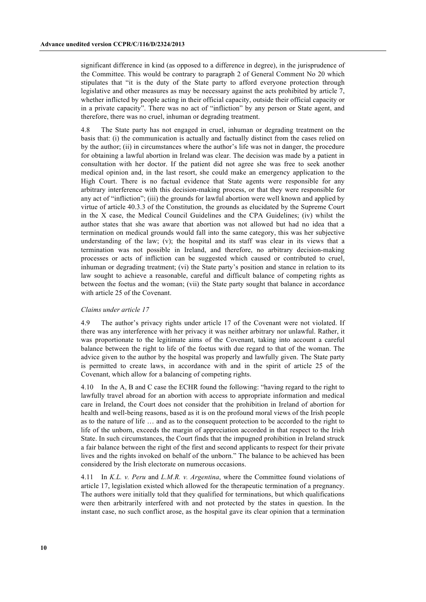significant difference in kind (as opposed to a difference in degree), in the jurisprudence of the Committee. This would be contrary to paragraph 2 of General Comment No 20 which stipulates that "it is the duty of the State party to afford everyone protection through legislative and other measures as may be necessary against the acts prohibited by article 7, whether inflicted by people acting in their official capacity, outside their official capacity or in a private capacity". There was no act of "infliction" by any person or State agent, and therefore, there was no cruel, inhuman or degrading treatment.

4.8 The State party has not engaged in cruel, inhuman or degrading treatment on the basis that: (i) the communication is actually and factually distinct from the cases relied on by the author; (ii) in circumstances where the author's life was not in danger, the procedure for obtaining a lawful abortion in Ireland was clear. The decision was made by a patient in consultation with her doctor. If the patient did not agree she was free to seek another medical opinion and, in the last resort, she could make an emergency application to the High Court. There is no factual evidence that State agents were responsible for any arbitrary interference with this decision-making process, or that they were responsible for any act of "infliction"; (iii) the grounds for lawful abortion were well known and applied by virtue of article 40.3.3 of the Constitution, the grounds as elucidated by the Supreme Court in the X case, the Medical Council Guidelines and the CPA Guidelines; (iv) whilst the author states that she was aware that abortion was not allowed but had no idea that a termination on medical grounds would fall into the same category, this was her subjective understanding of the law; (v); the hospital and its staff was clear in its views that a termination was not possible in Ireland, and therefore, no arbitrary decision-making processes or acts of infliction can be suggested which caused or contributed to cruel, inhuman or degrading treatment; (vi) the State party's position and stance in relation to its law sought to achieve a reasonable, careful and difficult balance of competing rights as between the foetus and the woman; (vii) the State party sought that balance in accordance with article 25 of the Covenant.

#### *Claims under article 17*

4.9 The author's privacy rights under article 17 of the Covenant were not violated. If there was any interference with her privacy it was neither arbitrary nor unlawful. Rather, it was proportionate to the legitimate aims of the Covenant, taking into account a careful balance between the right to life of the foetus with due regard to that of the woman. The advice given to the author by the hospital was properly and lawfully given. The State party is permitted to create laws, in accordance with and in the spirit of article 25 of the Covenant, which allow for a balancing of competing rights.

4.10 In the A, B and C case the ECHR found the following: "having regard to the right to lawfully travel abroad for an abortion with access to appropriate information and medical care in Ireland, the Court does not consider that the prohibition in Ireland of abortion for health and well-being reasons, based as it is on the profound moral views of the Irish people as to the nature of life … and as to the consequent protection to be accorded to the right to life of the unborn, exceeds the margin of appreciation accorded in that respect to the Irish State. In such circumstances, the Court finds that the impugned prohibition in Ireland struck a fair balance between the right of the first and second applicants to respect for their private lives and the rights invoked on behalf of the unborn." The balance to be achieved has been considered by the Irish electorate on numerous occasions.

4.11 In *K.L. v. Peru* and *L.M.R. v. Argentina*, where the Committee found violations of article 17, legislation existed which allowed for the therapeutic termination of a pregnancy. The authors were initially told that they qualified for terminations, but which qualifications were then arbitrarily interfered with and not protected by the states in question. In the instant case, no such conflict arose, as the hospital gave its clear opinion that a termination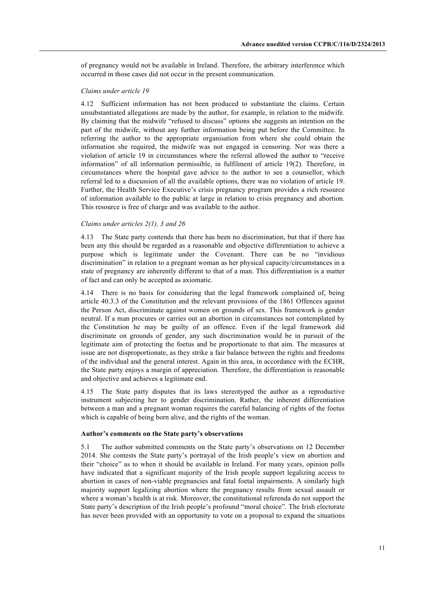of pregnancy would not be available in Ireland. Therefore, the arbitrary interference which occurred in those cases did not occur in the present communication.

#### *Claims under article 19*

4.12 Sufficient information has not been produced to substantiate the claims. Certain unsubstantiated allegations are made by the author, for example, in relation to the midwife. By claiming that the midwife "refused to discuss" options she suggests an intention on the part of the midwife, without any further information being put before the Committee. In referring the author to the appropriate organisation from where she could obtain the information she required, the midwife was not engaged in censoring. Nor was there a violation of article 19 in circumstances where the referral allowed the author to "receive information" of all information permissible, in fulfilment of article 19(2). Therefore, in circumstances where the hospital gave advice to the author to see a counsellor, which referral led to a discussion of all the available options, there was no violation of article 19. Further, the Health Service Executive's crisis pregnancy program provides a rich resource of information available to the public at large in relation to crisis pregnancy and abortion. This resource is free of charge and was available to the author.

#### *Claims under articles 2(1), 3 and 26*

4.13 The State party contends that there has been no discrimination, but that if there has been any this should be regarded as a reasonable and objective differentiation to achieve a purpose which is legitimate under the Covenant. There can be no "invidious discrimination" in relation to a pregnant woman as her physical capacity/circumstances in a state of pregnancy are inherently different to that of a man. This differentiation is a matter of fact and can only be accepted as axiomatic.

4.14 There is no basis for considering that the legal framework complained of, being article 40.3.3 of the Constitution and the relevant provisions of the 1861 Offences against the Person Act, discriminate against women on grounds of sex. This framework is gender neutral. If a man procures or carries out an abortion in circumstances not contemplated by the Constitution he may be guilty of an offence. Even if the legal framework did discriminate on grounds of gender, any such discrimination would be in pursuit of the legitimate aim of protecting the foetus and be proportionate to that aim. The measures at issue are not disproportionate, as they strike a fair balance between the rights and freedoms of the individual and the general interest. Again in this area, in accordance with the ECHR, the State party enjoys a margin of appreciation. Therefore, the differentiation is reasonable and objective and achieves a legitimate end.

4.15 The State party disputes that its laws stereotyped the author as a reproductive instrument subjecting her to gender discrimination. Rather, the inherent differentiation between a man and a pregnant woman requires the careful balancing of rights of the foetus which is capable of being born alive, and the rights of the woman.

#### **Author's comments on the State party's observations**

5.1 The author submitted comments on the State party's observations on 12 December 2014. She contests the State party's portrayal of the Irish people's view on abortion and their "choice" as to when it should be available in Ireland. For many years, opinion polls have indicated that a significant majority of the Irish people support legalizing access to abortion in cases of non-viable pregnancies and fatal foetal impairments. A similarly high majority support legalizing abortion where the pregnancy results from sexual assault or where a woman's health is at risk. Moreover, the constitutional referenda do not support the State party's description of the Irish people's profound "moral choice". The Irish electorate has never been provided with an opportunity to vote on a proposal to expand the situations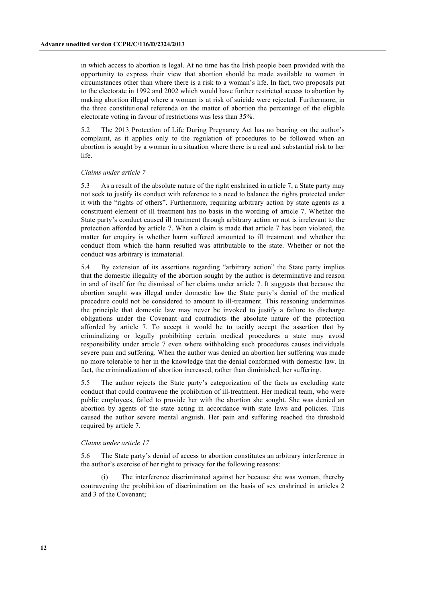in which access to abortion is legal. At no time has the Irish people been provided with the opportunity to express their view that abortion should be made available to women in circumstances other than where there is a risk to a woman's life. In fact, two proposals put to the electorate in 1992 and 2002 which would have further restricted access to abortion by making abortion illegal where a woman is at risk of suicide were rejected. Furthermore, in the three constitutional referenda on the matter of abortion the percentage of the eligible electorate voting in favour of restrictions was less than 35%.

5.2 The 2013 Protection of Life During Pregnancy Act has no bearing on the author's complaint, as it applies only to the regulation of procedures to be followed when an abortion is sought by a woman in a situation where there is a real and substantial risk to her life.

#### *Claims under article 7*

5.3 As a result of the absolute nature of the right enshrined in article 7, a State party may not seek to justify its conduct with reference to a need to balance the rights protected under it with the "rights of others". Furthermore, requiring arbitrary action by state agents as a constituent element of ill treatment has no basis in the wording of article 7. Whether the State party's conduct caused ill treatment through arbitrary action or not is irrelevant to the protection afforded by article 7. When a claim is made that article 7 has been violated, the matter for enquiry is whether harm suffered amounted to ill treatment and whether the conduct from which the harm resulted was attributable to the state. Whether or not the conduct was arbitrary is immaterial.

5.4 By extension of its assertions regarding "arbitrary action" the State party implies that the domestic illegality of the abortion sought by the author is determinative and reason in and of itself for the dismissal of her claims under article 7. It suggests that because the abortion sought was illegal under domestic law the State party's denial of the medical procedure could not be considered to amount to ill-treatment. This reasoning undermines the principle that domestic law may never be invoked to justify a failure to discharge obligations under the Covenant and contradicts the absolute nature of the protection afforded by article 7. To accept it would be to tacitly accept the assertion that by criminalizing or legally prohibiting certain medical procedures a state may avoid responsibility under article 7 even where withholding such procedures causes individuals severe pain and suffering. When the author was denied an abortion her suffering was made no more tolerable to her in the knowledge that the denial conformed with domestic law. In fact, the criminalization of abortion increased, rather than diminished, her suffering.

5.5 The author rejects the State party's categorization of the facts as excluding state conduct that could contravene the prohibition of ill-treatment. Her medical team, who were public employees, failed to provide her with the abortion she sought. She was denied an abortion by agents of the state acting in accordance with state laws and policies. This caused the author severe mental anguish. Her pain and suffering reached the threshold required by article 7.

#### *Claims under article 17*

5.6 The State party's denial of access to abortion constitutes an arbitrary interference in the author's exercise of her right to privacy for the following reasons:

The interference discriminated against her because she was woman, thereby contravening the prohibition of discrimination on the basis of sex enshrined in articles 2 and 3 of the Covenant;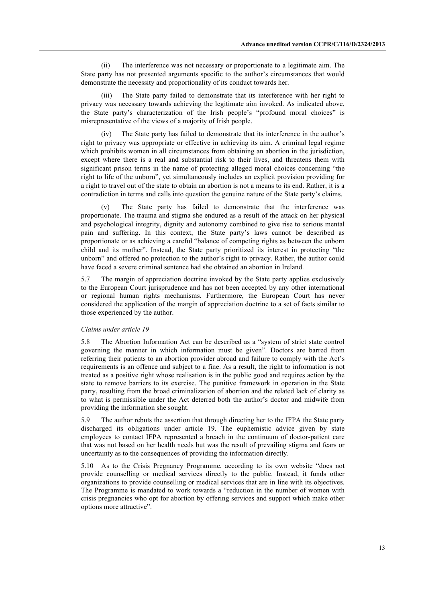(ii) The interference was not necessary or proportionate to a legitimate aim. The State party has not presented arguments specific to the author's circumstances that would demonstrate the necessity and proportionality of its conduct towards her.

(iii) The State party failed to demonstrate that its interference with her right to privacy was necessary towards achieving the legitimate aim invoked. As indicated above, the State party's characterization of the Irish people's "profound moral choices" is misrepresentative of the views of a majority of Irish people.

(iv) The State party has failed to demonstrate that its interference in the author's right to privacy was appropriate or effective in achieving its aim. A criminal legal regime which prohibits women in all circumstances from obtaining an abortion in the jurisdiction, except where there is a real and substantial risk to their lives, and threatens them with significant prison terms in the name of protecting alleged moral choices concerning "the right to life of the unborn", yet simultaneously includes an explicit provision providing for a right to travel out of the state to obtain an abortion is not a means to its end. Rather, it is a contradiction in terms and calls into question the genuine nature of the State party's claims.

(v) The State party has failed to demonstrate that the interference was proportionate. The trauma and stigma she endured as a result of the attack on her physical and psychological integrity, dignity and autonomy combined to give rise to serious mental pain and suffering. In this context, the State party's laws cannot be described as proportionate or as achieving a careful "balance of competing rights as between the unborn child and its mother". Instead, the State party prioritized its interest in protecting "the unborn" and offered no protection to the author's right to privacy. Rather, the author could have faced a severe criminal sentence had she obtained an abortion in Ireland.

5.7 The margin of appreciation doctrine invoked by the State party applies exclusively to the European Court jurisprudence and has not been accepted by any other international or regional human rights mechanisms. Furthermore, the European Court has never considered the application of the margin of appreciation doctrine to a set of facts similar to those experienced by the author.

#### *Claims under article 19*

5.8 The Abortion Information Act can be described as a "system of strict state control governing the manner in which information must be given". Doctors are barred from referring their patients to an abortion provider abroad and failure to comply with the Act's requirements is an offence and subject to a fine. As a result, the right to information is not treated as a positive right whose realisation is in the public good and requires action by the state to remove barriers to its exercise. The punitive framework in operation in the State party, resulting from the broad criminalization of abortion and the related lack of clarity as to what is permissible under the Act deterred both the author's doctor and midwife from providing the information she sought.

5.9 The author rebuts the assertion that through directing her to the IFPA the State party discharged its obligations under article 19. The euphemistic advice given by state employees to contact IFPA represented a breach in the continuum of doctor-patient care that was not based on her health needs but was the result of prevailing stigma and fears or uncertainty as to the consequences of providing the information directly.

5.10 As to the Crisis Pregnancy Programme, according to its own website "does not provide counselling or medical services directly to the public. Instead, it funds other organizations to provide counselling or medical services that are in line with its objectives. The Programme is mandated to work towards a "reduction in the number of women with crisis pregnancies who opt for abortion by offering services and support which make other options more attractive".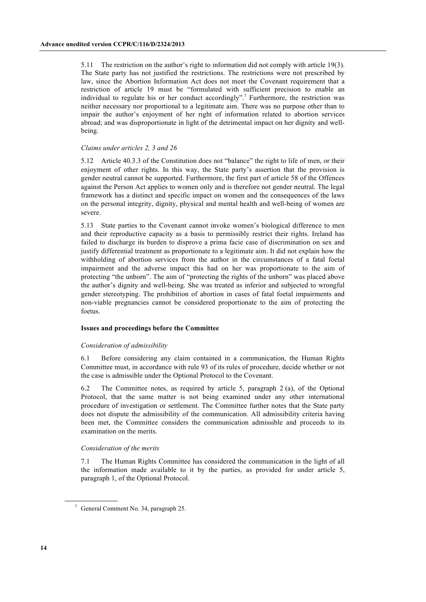5.11 The restriction on the author's right to information did not comply with article 19(3). The State party has not justified the restrictions. The restrictions were not prescribed by law, since the Abortion Information Act does not meet the Covenant requirement that a restriction of article 19 must be "formulated with sufficient precision to enable an individual to regulate his or her conduct accordingly".<sup>7</sup> Furthermore, the restriction was neither necessary nor proportional to a legitimate aim. There was no purpose other than to impair the author's enjoyment of her right of information related to abortion services abroad; and was disproportionate in light of the detrimental impact on her dignity and wellbeing.

#### *Claims under articles 2, 3 and 26*

5.12 Article 40.3.3 of the Constitution does not "balance" the right to life of men, or their enjoyment of other rights. In this way, the State party's assertion that the provision is gender neutral cannot be supported. Furthermore, the first part of article 58 of the Offences against the Person Act applies to women only and is therefore not gender neutral. The legal framework has a distinct and specific impact on women and the consequences of the laws on the personal integrity, dignity, physical and mental health and well-being of women are severe.

5.13 State parties to the Covenant cannot invoke women's biological difference to men and their reproductive capacity as a basis to permissibly restrict their rights. Ireland has failed to discharge its burden to disprove a prima facie case of discrimination on sex and justify differential treatment as proportionate to a legitimate aim. It did not explain how the withholding of abortion services from the author in the circumstances of a fatal foetal impairment and the adverse impact this had on her was proportionate to the aim of protecting "the unborn". The aim of "protecting the rights of the unborn" was placed above the author's dignity and well-being. She was treated as inferior and subjected to wrongful gender stereotyping. The prohibition of abortion in cases of fatal foetal impairments and non-viable pregnancies cannot be considered proportionate to the aim of protecting the foetus.

#### **Issues and proceedings before the Committee**

#### *Consideration of admissibility*

6.1 Before considering any claim contained in a communication, the Human Rights Committee must, in accordance with rule 93 of its rules of procedure, decide whether or not the case is admissible under the Optional Protocol to the Covenant.

6.2 The Committee notes, as required by article 5, paragraph 2 (a), of the Optional Protocol, that the same matter is not being examined under any other international procedure of investigation or settlement. The Committee further notes that the State party does not dispute the admissibility of the communication. All admissibility criteria having been met, the Committee considers the communication admissible and proceeds to its examination on the merits.

#### *Consideration of the merits*

7.1 The Human Rights Committee has considered the communication in the light of all the information made available to it by the parties, as provided for under article 5, paragraph 1, of the Optional Protocol.

<sup>7</sup> General Comment No. 34, paragraph 25.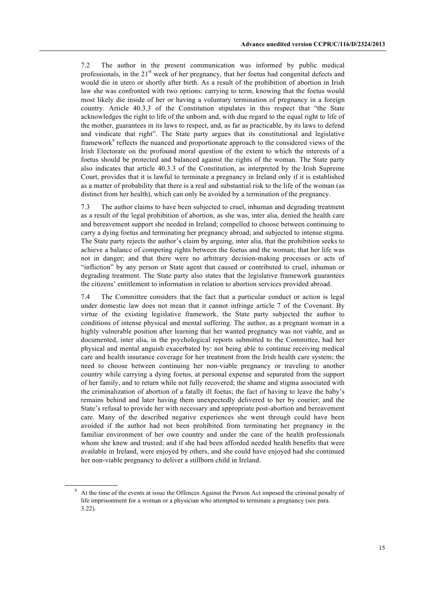7.2 The author in the present communication was informed by public medical professionals, in the  $21<sup>st</sup>$  week of her pregnancy, that her foetus had congenital defects and would die in utero or shortly after birth. As a result of the prohibition of abortion in Irish law she was confronted with two options: carrying to term, knowing that the foetus would most likely die inside of her or having a voluntary termination of pregnancy in a foreign country. Article 40.3.3 of the Constitution stipulates in this respect that "the State acknowledges the right to life of the unborn and, with due regard to the equal right to life of the mother, guarantees in its laws to respect, and, as far as practicable, by its laws to defend and vindicate that right". The State party argues that its constitutional and legislative framework $\delta$  reflects the nuanced and proportionate approach to the considered views of the Irish Electorate on the profound moral question of the extent to which the interests of a foetus should be protected and balanced against the rights of the woman. The State party also indicates that article 40.3.3 of the Constitution, as interpreted by the Irish Supreme Court, provides that it is lawful to terminate a pregnancy in Ireland only if it is established as a matter of probability that there is a real and substantial risk to the life of the woman (as distinct from her health), which can only be avoided by a termination of the pregnancy.

7.3 The author claims to have been subjected to cruel, inhuman and degrading treatment as a result of the legal prohibition of abortion, as she was, inter alia, denied the health care and bereavement support she needed in Ireland; compelled to choose between continuing to carry a dying foetus and terminating her pregnancy abroad; and subjected to intense stigma. The State party rejects the author's claim by arguing, inter alia, that the prohibition seeks to achieve a balance of competing rights between the foetus and the woman; that her life was not in danger; and that there were no arbitrary decision-making processes or acts of "infliction" by any person or State agent that caused or contributed to cruel, inhuman or degrading treatment. The State party also states that the legislative framework guarantees the citizens' entitlement to information in relation to abortion services provided abroad.

7.4 The Committee considers that the fact that a particular conduct or action is legal under domestic law does not mean that it cannot infringe article 7 of the Covenant. By virtue of the existing legislative framework, the State party subjected the author to conditions of intense physical and mental suffering. The author, as a pregnant woman in a highly vulnerable position after learning that her wanted pregnancy was not viable, and as documented, inter alia, in the psychological reports submitted to the Committee, had her physical and mental anguish exacerbated by: not being able to continue receiving medical care and health insurance coverage for her treatment from the Irish health care system; the need to choose between continuing her non-viable pregnancy or traveling to another country while carrying a dying foetus, at personal expense and separated from the support of her family, and to return while not fully recovered; the shame and stigma associated with the criminalization of abortion of a fatally ill foetus; the fact of having to leave the baby's remains behind and later having them unexpectedly delivered to her by courier; and the State's refusal to provide her with necessary and appropriate post-abortion and bereavement care. Many of the described negative experiences she went through could have been avoided if the author had not been prohibited from terminating her pregnancy in the familiar environment of her own country and under the care of the health professionals whom she knew and trusted; and if she had been afforded needed health benefits that were available in Ireland, were enjoyed by others, and she could have enjoyed had she continued her non-viable pregnancy to deliver a stillborn child in Ireland.

<sup>&</sup>lt;sup>8</sup> At the time of the events at issue the Offences Against the Person Act imposed the criminal penalty of life imprisonment for a woman or a physician who attempted to terminate a pregnancy (see para. 3.22).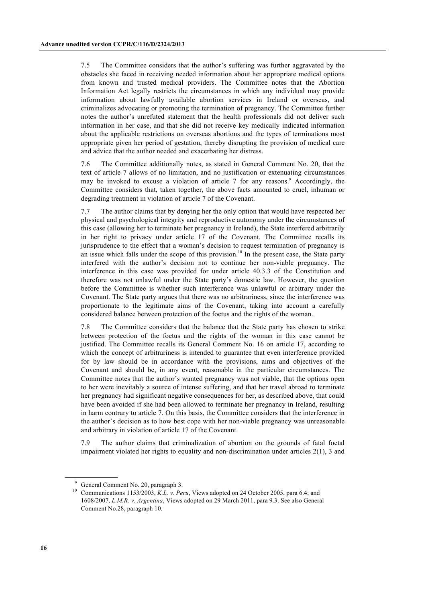7.5 The Committee considers that the author's suffering was further aggravated by the obstacles she faced in receiving needed information about her appropriate medical options from known and trusted medical providers. The Committee notes that the Abortion Information Act legally restricts the circumstances in which any individual may provide information about lawfully available abortion services in Ireland or overseas, and criminalizes advocating or promoting the termination of pregnancy. The Committee further notes the author's unrefuted statement that the health professionals did not deliver such information in her case, and that she did not receive key medically indicated information about the applicable restrictions on overseas abortions and the types of terminations most appropriate given her period of gestation, thereby disrupting the provision of medical care and advice that the author needed and exacerbating her distress.

7.6 The Committee additionally notes, as stated in General Comment No. 20, that the text of article 7 allows of no limitation, and no justification or extenuating circumstances may be invoked to excuse a violation of article 7 for any reasons.<sup>9</sup> Accordingly, the Committee considers that, taken together, the above facts amounted to cruel, inhuman or degrading treatment in violation of article 7 of the Covenant.

7.7 The author claims that by denying her the only option that would have respected her physical and psychological integrity and reproductive autonomy under the circumstances of this case (allowing her to terminate her pregnancy in Ireland), the State interfered arbitrarily in her right to privacy under article 17 of the Covenant. The Committee recalls its jurisprudence to the effect that a woman's decision to request termination of pregnancy is an issue which falls under the scope of this provision.<sup>10</sup> In the present case, the State party interfered with the author's decision not to continue her non-viable pregnancy. The interference in this case was provided for under article 40.3.3 of the Constitution and therefore was not unlawful under the State party's domestic law. However, the question before the Committee is whether such interference was unlawful or arbitrary under the Covenant. The State party argues that there was no arbitrariness, since the interference was proportionate to the legitimate aims of the Covenant, taking into account a carefully considered balance between protection of the foetus and the rights of the woman.

7.8 The Committee considers that the balance that the State party has chosen to strike between protection of the foetus and the rights of the woman in this case cannot be justified. The Committee recalls its General Comment No. 16 on article 17, according to which the concept of arbitrariness is intended to guarantee that even interference provided for by law should be in accordance with the provisions, aims and objectives of the Covenant and should be, in any event, reasonable in the particular circumstances. The Committee notes that the author's wanted pregnancy was not viable, that the options open to her were inevitably a source of intense suffering, and that her travel abroad to terminate her pregnancy had significant negative consequences for her, as described above, that could have been avoided if she had been allowed to terminate her pregnancy in Ireland, resulting in harm contrary to article 7. On this basis, the Committee considers that the interference in the author's decision as to how best cope with her non-viable pregnancy was unreasonable and arbitrary in violation of article 17 of the Covenant.

7.9 The author claims that criminalization of abortion on the grounds of fatal foetal impairment violated her rights to equality and non-discrimination under articles 2(1), 3 and

<sup>9</sup> General Comment No. 20, paragraph 3.

<sup>&</sup>lt;sup>10</sup> Communications 1153/2003, *K.L. v. Peru*, Views adopted on 24 October 2005, para 6.4; and 1608/2007, *L.M.R. v. Argentina*, Views adopted on 29 March 2011, para 9.3. See also General Comment No.28, paragraph 10.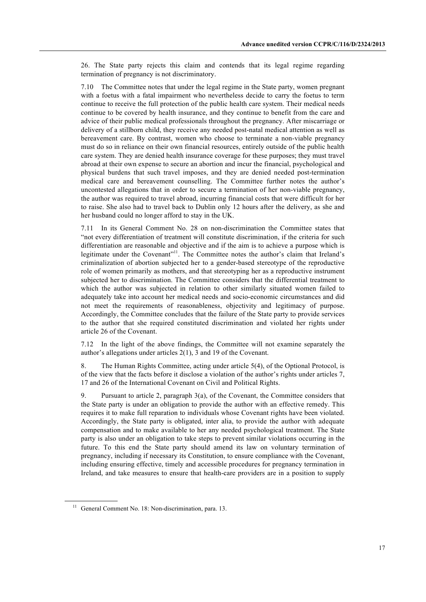26. The State party rejects this claim and contends that its legal regime regarding termination of pregnancy is not discriminatory.

7.10 The Committee notes that under the legal regime in the State party, women pregnant with a foetus with a fatal impairment who nevertheless decide to carry the foetus to term continue to receive the full protection of the public health care system. Their medical needs continue to be covered by health insurance, and they continue to benefit from the care and advice of their public medical professionals throughout the pregnancy. After miscarriage or delivery of a stillborn child, they receive any needed post-natal medical attention as well as bereavement care. By contrast, women who choose to terminate a non-viable pregnancy must do so in reliance on their own financial resources, entirely outside of the public health care system. They are denied health insurance coverage for these purposes; they must travel abroad at their own expense to secure an abortion and incur the financial, psychological and physical burdens that such travel imposes, and they are denied needed post-termination medical care and bereavement counselling. The Committee further notes the author's uncontested allegations that in order to secure a termination of her non-viable pregnancy, the author was required to travel abroad, incurring financial costs that were difficult for her to raise. She also had to travel back to Dublin only 12 hours after the delivery, as she and her husband could no longer afford to stay in the UK.

7.11 In its General Comment No. 28 on non-discrimination the Committee states that "not every differentiation of treatment will constitute discrimination, if the criteria for such differentiation are reasonable and objective and if the aim is to achieve a purpose which is legitimate under the Covenant"<sup>11</sup>. The Committee notes the author's claim that Ireland's criminalization of abortion subjected her to a gender-based stereotype of the reproductive role of women primarily as mothers, and that stereotyping her as a reproductive instrument subjected her to discrimination. The Committee considers that the differential treatment to which the author was subjected in relation to other similarly situated women failed to adequately take into account her medical needs and socio-economic circumstances and did not meet the requirements of reasonableness, objectivity and legitimacy of purpose. Accordingly, the Committee concludes that the failure of the State party to provide services to the author that she required constituted discrimination and violated her rights under article 26 of the Covenant.

7.12 In the light of the above findings, the Committee will not examine separately the author's allegations under articles 2(1), 3 and 19 of the Covenant.

8. The Human Rights Committee, acting under article 5(4), of the Optional Protocol, is of the view that the facts before it disclose a violation of the author's rights under articles 7, 17 and 26 of the International Covenant on Civil and Political Rights.

9. Pursuant to article 2, paragraph 3(a), of the Covenant, the Committee considers that the State party is under an obligation to provide the author with an effective remedy. This requires it to make full reparation to individuals whose Covenant rights have been violated. Accordingly, the State party is obligated, inter alia, to provide the author with adequate compensation and to make available to her any needed psychological treatment. The State party is also under an obligation to take steps to prevent similar violations occurring in the future. To this end the State party should amend its law on voluntary termination of pregnancy, including if necessary its Constitution, to ensure compliance with the Covenant, including ensuring effective, timely and accessible procedures for pregnancy termination in Ireland, and take measures to ensure that health-care providers are in a position to supply

<sup>&</sup>lt;sup>11</sup> General Comment No. 18: Non-discrimination, para. 13.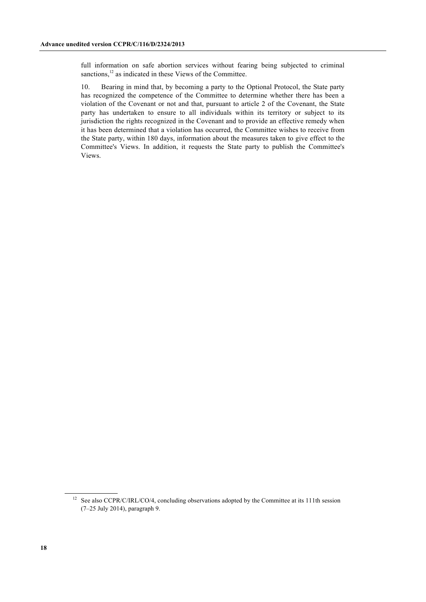full information on safe abortion services without fearing being subjected to criminal sanctions,<sup>12</sup> as indicated in these Views of the Committee.

10. Bearing in mind that, by becoming a party to the Optional Protocol, the State party has recognized the competence of the Committee to determine whether there has been a violation of the Covenant or not and that, pursuant to article 2 of the Covenant, the State party has undertaken to ensure to all individuals within its territory or subject to its jurisdiction the rights recognized in the Covenant and to provide an effective remedy when it has been determined that a violation has occurred, the Committee wishes to receive from the State party, within 180 days, information about the measures taken to give effect to the Committee's Views. In addition, it requests the State party to publish the Committee's Views.

<sup>&</sup>lt;sup>12</sup> See also CCPR/C/IRL/CO/4, concluding observations adopted by the Committee at its 111th session (7–25 July 2014), paragraph 9.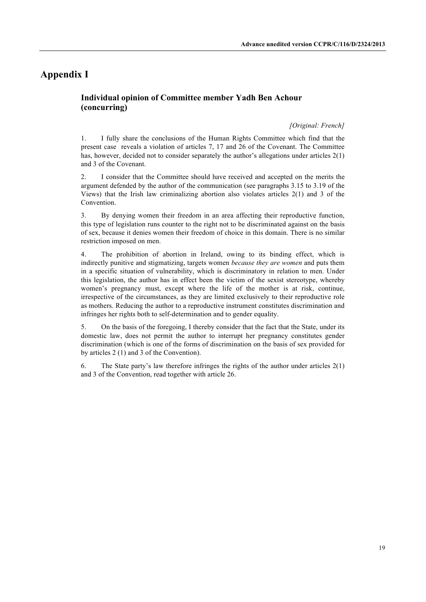# **Appendix I**

### **Individual opinion of Committee member Yadh Ben Achour (concurring)**

#### *[Original: French]*

1. I fully share the conclusions of the Human Rights Committee which find that the present case reveals a violation of articles 7, 17 and 26 of the Covenant. The Committee has, however, decided not to consider separately the author's allegations under articles  $2(1)$ and 3 of the Covenant.

2. I consider that the Committee should have received and accepted on the merits the argument defended by the author of the communication (see paragraphs 3.15 to 3.19 of the Views) that the Irish law criminalizing abortion also violates articles 2(1) and 3 of the **Convention** 

3. By denying women their freedom in an area affecting their reproductive function, this type of legislation runs counter to the right not to be discriminated against on the basis of sex, because it denies women their freedom of choice in this domain. There is no similar restriction imposed on men.

4. The prohibition of abortion in Ireland, owing to its binding effect, which is indirectly punitive and stigmatizing, targets women *because they are women* and puts them in a specific situation of vulnerability, which is discriminatory in relation to men. Under this legislation, the author has in effect been the victim of the sexist stereotype, whereby women's pregnancy must, except where the life of the mother is at risk, continue, irrespective of the circumstances, as they are limited exclusively to their reproductive role as mothers. Reducing the author to a reproductive instrument constitutes discrimination and infringes her rights both to self-determination and to gender equality.

5. On the basis of the foregoing, I thereby consider that the fact that the State, under its domestic law, does not permit the author to interrupt her pregnancy constitutes gender discrimination (which is one of the forms of discrimination on the basis of sex provided for by articles 2 (1) and 3 of the Convention).

6. The State party's law therefore infringes the rights of the author under articles 2(1) and 3 of the Convention, read together with article 26.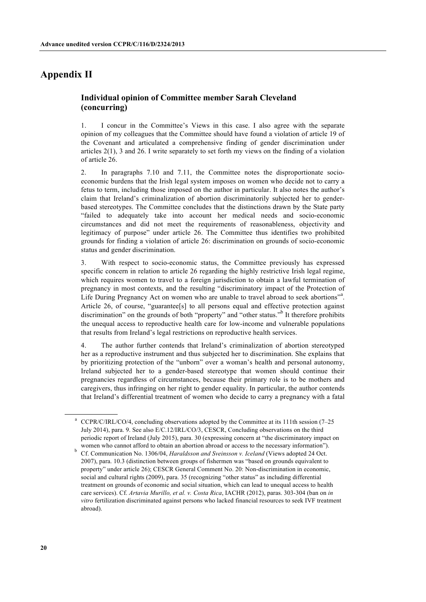# **Appendix II**

### **Individual opinion of Committee member Sarah Cleveland (concurring)**

1. I concur in the Committee's Views in this case. I also agree with the separate opinion of my colleagues that the Committee should have found a violation of article 19 of the Covenant and articulated a comprehensive finding of gender discrimination under articles 2(1), 3 and 26. I write separately to set forth my views on the finding of a violation of article 26.

2. In paragraphs 7.10 and 7.11, the Committee notes the disproportionate socioeconomic burdens that the Irish legal system imposes on women who decide not to carry a fetus to term, including those imposed on the author in particular. It also notes the author's claim that Ireland's criminalization of abortion discriminatorily subjected her to genderbased stereotypes. The Committee concludes that the distinctions drawn by the State party "failed to adequately take into account her medical needs and socio-economic circumstances and did not meet the requirements of reasonableness, objectivity and legitimacy of purpose" under article 26. The Committee thus identifies two prohibited grounds for finding a violation of article 26: discrimination on grounds of socio-economic status and gender discrimination.

3. With respect to socio-economic status, the Committee previously has expressed specific concern in relation to article 26 regarding the highly restrictive Irish legal regime, which requires women to travel to a foreign jurisdiction to obtain a lawful termination of pregnancy in most contexts, and the resulting "discriminatory impact of the Protection of Life During Pregnancy Act on women who are unable to travel abroad to seek abortions"<sup>2</sup>. Article 26, of course, "guarantee[s] to all persons equal and effective protection against discrimination" on the grounds of both "property" and "other status."<sup>b</sup> It therefore prohibits the unequal access to reproductive health care for low-income and vulnerable populations that results from Ireland's legal restrictions on reproductive health services.

4. The author further contends that Ireland's criminalization of abortion stereotyped her as a reproductive instrument and thus subjected her to discrimination. She explains that by prioritizing protection of the "unborn" over a woman's health and personal autonomy, Ireland subjected her to a gender-based stereotype that women should continue their pregnancies regardless of circumstances, because their primary role is to be mothers and caregivers, thus infringing on her right to gender equality. In particular, the author contends that Ireland's differential treatment of women who decide to carry a pregnancy with a fatal

<sup>&</sup>lt;sup>a</sup> CCPR/C/IRL/CO/4, concluding observations adopted by the Committee at its 111th session (7–25) July 2014), para. 9. See also E/C.12/IRL/CO/3, CESCR, Concluding observations on the third periodic report of Ireland (July 2015), para. 30 (expressing concern at "the discriminatory impact on women who cannot afford to obtain an abortion abroad or access to the necessary information").

<sup>b</sup> Cf. Communication No. 1306/04, *Haraldsson and Sveinsson v. Iceland* (Views adopted 24 Oct. 2007), para. 10.3 (distinction between groups of fishermen was "based on grounds equivalent to property" under article 26); CESCR General Comment No. 20: Non-discrimination in economic, social and cultural rights (2009), para. 35 (recognizing "other status" as including differential treatment on grounds of economic and social situation, which can lead to unequal access to health care services). Cf. *Artavia Murillo, et al. v. Costa Rica*, IACHR (2012), paras. 303-304 (ban on *in vitro* fertilization discriminated against persons who lacked financial resources to seek IVF treatment abroad).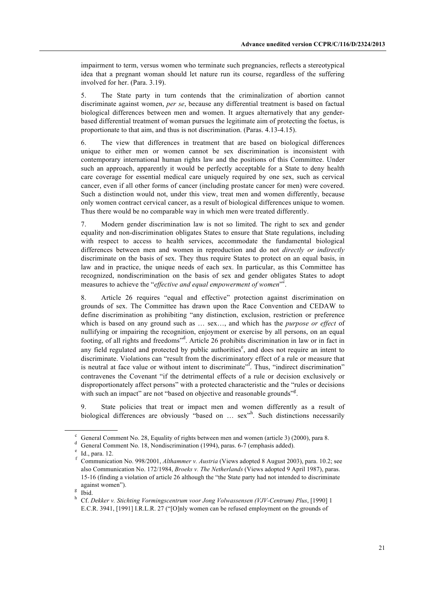impairment to term, versus women who terminate such pregnancies, reflects a stereotypical idea that a pregnant woman should let nature run its course, regardless of the suffering involved for her. (Para. 3.19).

5. The State party in turn contends that the criminalization of abortion cannot discriminate against women, *per se*, because any differential treatment is based on factual biological differences between men and women. It argues alternatively that any genderbased differential treatment of woman pursues the legitimate aim of protecting the foetus, is proportionate to that aim, and thus is not discrimination. (Paras. 4.13-4.15).

6. The view that differences in treatment that are based on biological differences unique to either men or women cannot be sex discrimination is inconsistent with contemporary international human rights law and the positions of this Committee. Under such an approach, apparently it would be perfectly acceptable for a State to deny health care coverage for essential medical care uniquely required by one sex, such as cervical cancer, even if all other forms of cancer (including prostate cancer for men) were covered. Such a distinction would not, under this view, treat men and women differently, because only women contract cervical cancer, as a result of biological differences unique to women. Thus there would be no comparable way in which men were treated differently.

7. Modern gender discrimination law is not so limited. The right to sex and gender equality and non-discrimination obligates States to ensure that State regulations, including with respect to access to health services, accommodate the fundamental biological differences between men and women in reproduction and do not *directly or indirectly* discriminate on the basis of sex. They thus require States to protect on an equal basis, in law and in practice, the unique needs of each sex. In particular, as this Committee has recognized, nondiscrimination on the basis of sex and gender obligates States to adopt measures to achieve the "*effective and equal empowerment of women*".

8. Article 26 requires "equal and effective" protection against discrimination on grounds of sex. The Committee has drawn upon the Race Convention and CEDAW to define discrimination as prohibiting "any distinction, exclusion, restriction or preference which is based on any ground such as … sex…, and which has the *purpose or effect* of nullifying or impairing the recognition, enjoyment or exercise by all persons, on an equal footing, of all rights and freedoms"<sup>d</sup>. Article 26 prohibits discrimination in law or in fact in any field regulated and protected by public authorities<sup>e</sup>, and does not require an intent to discriminate. Violations can "result from the discriminatory effect of a rule or measure that is neutral at face value or without intent to discriminate<sup> $\mathbf{r}^{\text{f}}$ </sup>. Thus, "indirect discrimination" contravenes the Covenant "if the detrimental effects of a rule or decision exclusively or disproportionately affect persons" with a protected characteristic and the "rules or decisions with such an impact" are not "based on objective and reasonable grounds"<sup>g</sup>.

9. State policies that treat or impact men and women differently as a result of biological differences are obviously "based on ... sex"<sup>h</sup>. Such distinctions necessarily

General Comment No. 28, Equality of rights between men and women (article 3) (2000), para 8.<br>General Comment No. 18, Nondiscrimination (1994), paras. 6-7 (emphasis added).<br>Id., para. 12.<br>Communication No. 998/2001, Althamm

also Communication No. 172/1984, *Broeks v. The Netherlands* (Views adopted 9 April 1987), paras. 15-16 (finding a violation of article 26 although the "the State party had not intended to discriminate against women").<br><sup>g</sup> Ibid.<br><sup>h</sup> Cf. *Dekker v. Stichting Vormingscentrum voor Jong Volwassensen (VJV-Centrum) Plus*, [1990] 1

E.C.R. 3941, [1991] I.R.L.R. 27 ("[O]nly women can be refused employment on the grounds of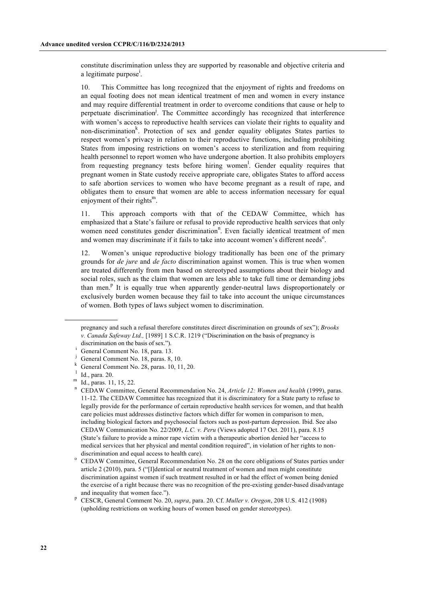constitute discrimination unless they are supported by reasonable and objective criteria and a legitimate purpose<sup>i</sup>.

10. This Committee has long recognized that the enjoyment of rights and freedoms on an equal footing does not mean identical treatment of men and women in every instance and may require differential treatment in order to overcome conditions that cause or help to perpetuate discrimination<sup>j</sup>. The Committee accordingly has recognized that interference with women's access to reproductive health services can violate their rights to equality and non-discrimination<sup>k</sup>. Protection of sex and gender equality obligates States parties to respect women's privacy in relation to their reproductive functions, including prohibiting States from imposing restrictions on women's access to sterilization and from requiring health personnel to report women who have undergone abortion. It also prohibits employers from requesting pregnancy tests before hiring women<sup>1</sup>. Gender equality requires that pregnant women in State custody receive appropriate care, obligates States to afford access to safe abortion services to women who have become pregnant as a result of rape, and obligates them to ensure that women are able to access information necessary for equal enjoyment of their rights $<sup>m</sup>$ .</sup>

11. This approach comports with that of the CEDAW Committee, which has emphasized that a State's failure or refusal to provide reproductive health services that only women need constitutes gender discrimination<sup>n</sup>. Even facially identical treatment of men and women may discriminate if it fails to take into account women's different needs<sup>o</sup>.

12. Women's unique reproductive biology traditionally has been one of the primary grounds for *de jure* and *de facto* discrimination against women. This is true when women are treated differently from men based on stereotyped assumptions about their biology and social roles, such as the claim that women are less able to take full time or demanding jobs than men. $P$  It is equally true when apparently gender-neutral laws disproportionately or exclusively burden women because they fail to take into account the unique circumstances of women. Both types of laws subject women to discrimination.

pregnancy and such a refusal therefore constitutes direct discrimination on grounds of sex"); *Brooks v. Canada Safeway Ltd.,* [1989] 1 S.C.R. 1219 ("Discrimination on the basis of pregnancy is

discrimination on the basis of sex.").<br>General Comment No. 18, para. 13.

General Comment No. 18, paras. 8, 10.<br>
<sup>k</sup> General Comment No. 28, paras. 10, 11, 20.<br>
<sup>l</sup> Id., para. 20.<br>
<sup>m</sup> Id., paras. 11, 15, 22.<br>
<sup>n</sup> CEDAW Committee, General Recommendation No. 24, *Article 12: Women and health* (1 11-12. The CEDAW Committee has recognized that it is discriminatory for a State party to refuse to legally provide for the performance of certain reproductive health services for women, and that health care policies must addresses distinctive factors which differ for women in comparison to men, including biological factors and psychosocial factors such as post-partum depression. Ibid. See also CEDAW Communication No. 22/2009, *L.C. v. Peru* (Views adopted 17 Oct. 2011), para. 8.15 (State's failure to provide a minor rape victim with a therapeutic abortion denied her "access to medical services that her physical and mental condition required", in violation of her rights to nondiscrimination and equal access to health care).<br>CEDAW Committee, General Recommendation No. 28 on the core obligations of States parties under

article 2 (2010), para. 5 ("[I]dentical or neutral treatment of women and men might constitute discrimination against women if such treatment resulted in or had the effect of women being denied the exercise of a right because there was no recognition of the pre-existing gender-based disadvantage

and inequality that women face.").<br><sup>p</sup> CESCR, General Comment No. 20, *supra*, para. 20. Cf. *Muller v. Oregon*, 208 U.S. 412 (1908) (upholding restrictions on working hours of women based on gender stereotypes).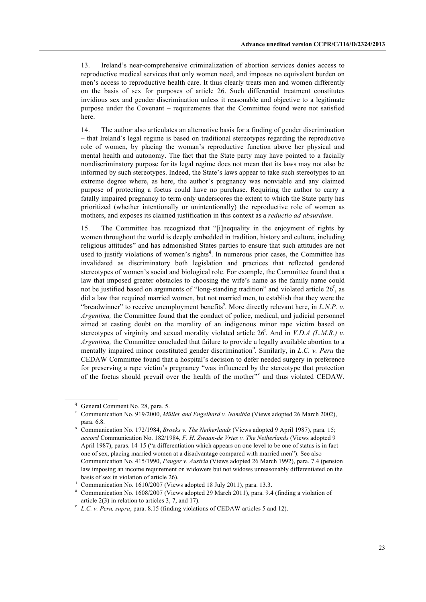13. Ireland's near-comprehensive criminalization of abortion services denies access to reproductive medical services that only women need, and imposes no equivalent burden on men's access to reproductive health care. It thus clearly treats men and women differently on the basis of sex for purposes of article 26. Such differential treatment constitutes invidious sex and gender discrimination unless it reasonable and objective to a legitimate purpose under the Covenant – requirements that the Committee found were not satisfied here.

14. The author also articulates an alternative basis for a finding of gender discrimination – that Ireland's legal regime is based on traditional stereotypes regarding the reproductive role of women, by placing the woman's reproductive function above her physical and mental health and autonomy. The fact that the State party may have pointed to a facially nondiscriminatory purpose for its legal regime does not mean that its laws may not also be informed by such stereotypes. Indeed, the State's laws appear to take such stereotypes to an extreme degree where, as here, the author's pregnancy was nonviable and any claimed purpose of protecting a foetus could have no purchase. Requiring the author to carry a fatally impaired pregnancy to term only underscores the extent to which the State party has prioritized (whether intentionally or unintentionally) the reproductive role of women as mothers, and exposes its claimed justification in this context as a *reductio ad absurdum*.

15. The Committee has recognized that "[i]nequality in the enjoyment of rights by women throughout the world is deeply embedded in tradition, history and culture, including religious attitudes" and has admonished States parties to ensure that such attitudes are not used to justify violations of women's rights<sup>q</sup>. In numerous prior cases, the Committee has invalidated as discriminatory both legislation and practices that reflected gendered stereotypes of women's social and biological role. For example, the Committee found that a law that imposed greater obstacles to choosing the wife's name as the family name could not be justified based on arguments of "long-standing tradition" and violated article  $26<sup>r</sup>$ , as did a law that required married women, but not married men, to establish that they were the "breadwinner" to receive unemployment benefits<sup>8</sup>. More directly relevant here, in *L.N.P. v. Argentina,* the Committee found that the conduct of police, medical, and judicial personnel aimed at casting doubt on the morality of an indigenous minor rape victim based on stereotypes of virginity and sexual morality violated article  $26^t$ . And in *V.D.A (L.M.R.) v. Argentina,* the Committee concluded that failure to provide a legally available abortion to a mentally impaired minor constituted gender discrimination<sup>u</sup>. Similarly, in *L.C. v. Peru* the CEDAW Committee found that a hospital's decision to defer needed surgery in preference for preserving a rape victim's pregnancy "was influenced by the stereotype that protection of the foetus should prevail over the health of the mother"<sup>v</sup> and thus violated CEDAW.

<sup>&</sup>lt;sup>q</sup> General Comment No. 28, para. 5.

<sup>r</sup> Communication No. 919/2000, *Müller and Engelhard v. Namibia* (Views adopted 26 March 2002), para. 6.8.

<sup>s</sup> Communication No. 172/1984, *Broeks v. The Netherlands* (Views adopted 9 April 1987), para. 15; *accord* Communication No. 182/1984, *F. H. Zwaan-de Vries v. The Netherlands* (Views adopted 9 April 1987), paras. 14-15 ("a differentiation which appears on one level to be one of status is in fact one of sex, placing married women at a disadvantage compared with married men"). See also Communication No. 415/1990, *Pauger v. Austria* (Views adopted 26 March 1992), para. 7.4 (pension law imposing an income requirement on widowers but not widows unreasonably differentiated on the basis of sex in violation of article 26).

<sup>t</sup> Communication No. 1610/2007 (Views adopted 18 July 2011), para. 13.3.

<sup>&</sup>lt;sup>u</sup> Communication No. 1608/2007 (Views adopted 29 March 2011), para. 9.4 (finding a violation of

article 2(3) in relation to articles 3, 7, and 17).<br><sup>v</sup> *L.C. v. Peru, supra*, para. 8.15 (finding violations of CEDAW articles 5 and 12).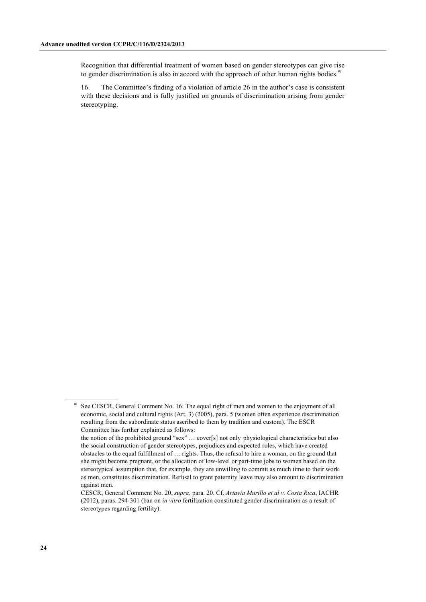Recognition that differential treatment of women based on gender stereotypes can give rise to gender discrimination is also in accord with the approach of other human rights bodies. $w$ 

16. The Committee's finding of a violation of article 26 in the author's case is consistent with these decisions and is fully justified on grounds of discrimination arising from gender stereotyping.

See CESCR, General Comment No. 16: The equal right of men and women to the enjoyment of all economic, social and cultural rights (Art. 3) (2005), para. 5 (women often experience discrimination resulting from the subordinate status ascribed to them by tradition and custom). The ESCR Committee has further explained as follows:

the notion of the prohibited ground "sex" … cover[s] not only physiological characteristics but also the social construction of gender stereotypes, prejudices and expected roles, which have created obstacles to the equal fulfillment of … rights. Thus, the refusal to hire a woman, on the ground that she might become pregnant, or the allocation of low-level or part-time jobs to women based on the stereotypical assumption that, for example, they are unwilling to commit as much time to their work as men, constitutes discrimination. Refusal to grant paternity leave may also amount to discrimination against men.

CESCR, General Comment No. 20, *supra*, para. 20. Cf. *Artavia Murillo et al v. Costa Rica*, IACHR (2012), paras. 294-301 (ban on *in vitro* fertilization constituted gender discrimination as a result of stereotypes regarding fertility).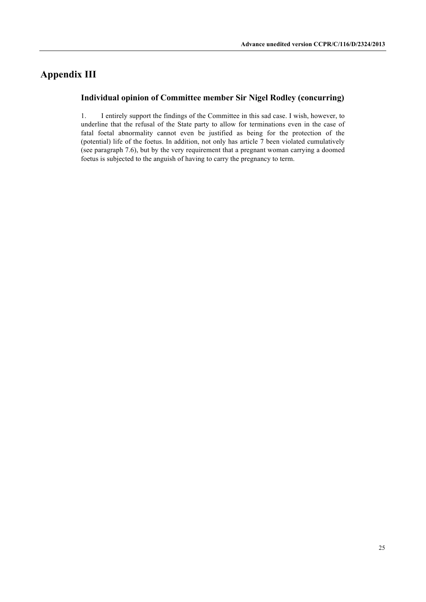# **Appendix III**

### **Individual opinion of Committee member Sir Nigel Rodley (concurring)**

1. I entirely support the findings of the Committee in this sad case. I wish, however, to underline that the refusal of the State party to allow for terminations even in the case of fatal foetal abnormality cannot even be justified as being for the protection of the (potential) life of the foetus. In addition, not only has article 7 been violated cumulatively (see paragraph 7.6), but by the very requirement that a pregnant woman carrying a doomed foetus is subjected to the anguish of having to carry the pregnancy to term.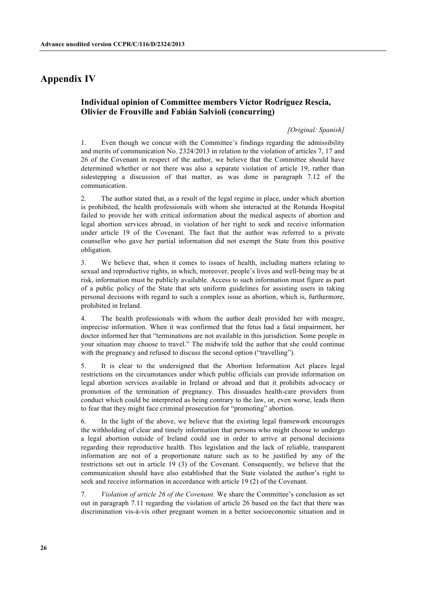## **Appendix IV**

### **Individual opinion of Committee members Víctor Rodríguez Rescia, Olivier de Frouville and Fabián Salvioli (concurring)**

#### *[Original: Spanish]*

1. Even though we concur with the Committee's findings regarding the admissibility and merits of communication No. 2324/2013 in relation to the violation of articles 7, 17 and 26 of the Covenant in respect of the author, we believe that the Committee should have determined whether or not there was also a separate violation of article 19, rather than sidestepping a discussion of that matter, as was done in paragraph 7.12 of the communication.

2. The author stated that, as a result of the legal regime in place, under which abortion is prohibited, the health professionals with whom she interacted at the Rotunda Hospital failed to provide her with critical information about the medical aspects of abortion and legal abortion services abroad, in violation of her right to seek and receive information under article 19 of the Covenant. The fact that the author was referred to a private counsellor who gave her partial information did not exempt the State from this positive obligation.

3. We believe that, when it comes to issues of health, including matters relating to sexual and reproductive rights, in which, moreover, people's lives and well-being may be at risk, information must be publicly available. Access to such information must figure as part of a public policy of the State that sets uniform guidelines for assisting users in taking personal decisions with regard to such a complex issue as abortion, which is, furthermore, prohibited in Ireland.

4. The health professionals with whom the author dealt provided her with meagre, imprecise information. When it was confirmed that the fetus had a fatal impairment, her doctor informed her that "terminations are not available in this jurisdiction. Some people in your situation may choose to travel." The midwife told the author that she could continue with the pregnancy and refused to discuss the second option ("travelling").

5. It is clear to the undersigned that the Abortion Information Act places legal restrictions on the circumstances under which public officials can provide information on legal abortion services available in Ireland or abroad and that it prohibits advocacy or promotion of the termination of pregnancy. This dissuades health-care providers from conduct which could be interpreted as being contrary to the law, or, even worse, leads them to fear that they might face criminal prosecution for "promoting" abortion.

6. In the light of the above, we believe that the existing legal framework encourages the withholding of clear and timely information that persons who might choose to undergo a legal abortion outside of Ireland could use in order to arrive at personal decisions regarding their reproductive health. This legislation and the lack of reliable, transparent information are not of a proportionate nature such as to be justified by any of the restrictions set out in article 19 (3) of the Covenant. Consequently, we believe that the communication should have also established that the State violated the author's right to seek and receive information in accordance with article 19 (2) of the Covenant.

7. *Violation of article 26 of the Covenant.* We share the Committee's conclusion as set out in paragraph 7.11 regarding the violation of article 26 based on the fact that there was discrimination vis-à-vis other pregnant women in a better socioeconomic situation and in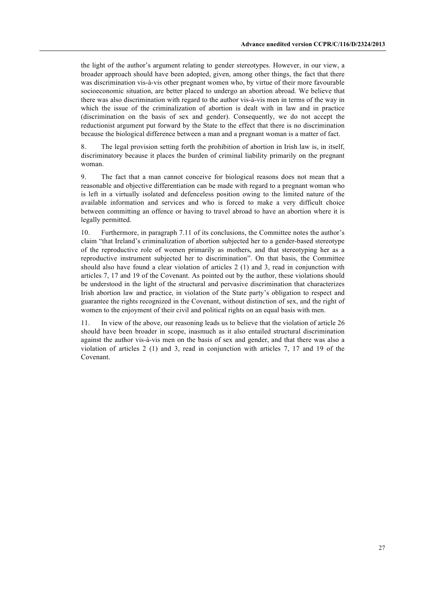the light of the author's argument relating to gender stereotypes. However, in our view, a broader approach should have been adopted, given, among other things, the fact that there was discrimination vis-à-vis other pregnant women who, by virtue of their more favourable socioeconomic situation, are better placed to undergo an abortion abroad. We believe that there was also discrimination with regard to the author vis-à-vis men in terms of the way in which the issue of the criminalization of abortion is dealt with in law and in practice (discrimination on the basis of sex and gender). Consequently, we do not accept the reductionist argument put forward by the State to the effect that there is no discrimination because the biological difference between a man and a pregnant woman is a matter of fact.

8. The legal provision setting forth the prohibition of abortion in Irish law is, in itself, discriminatory because it places the burden of criminal liability primarily on the pregnant woman.

9. The fact that a man cannot conceive for biological reasons does not mean that a reasonable and objective differentiation can be made with regard to a pregnant woman who is left in a virtually isolated and defenceless position owing to the limited nature of the available information and services and who is forced to make a very difficult choice between committing an offence or having to travel abroad to have an abortion where it is legally permitted.

10. Furthermore, in paragraph 7.11 of its conclusions, the Committee notes the author's claim "that Ireland's criminalization of abortion subjected her to a gender-based stereotype of the reproductive role of women primarily as mothers, and that stereotyping her as a reproductive instrument subjected her to discrimination". On that basis, the Committee should also have found a clear violation of articles 2 (1) and 3, read in conjunction with articles 7, 17 and 19 of the Covenant. As pointed out by the author, these violations should be understood in the light of the structural and pervasive discrimination that characterizes Irish abortion law and practice, in violation of the State party's obligation to respect and guarantee the rights recognized in the Covenant, without distinction of sex, and the right of women to the enjoyment of their civil and political rights on an equal basis with men.

11. In view of the above, our reasoning leads us to believe that the violation of article 26 should have been broader in scope, inasmuch as it also entailed structural discrimination against the author vis-à-vis men on the basis of sex and gender, and that there was also a violation of articles 2 (1) and 3, read in conjunction with articles 7, 17 and 19 of the Covenant.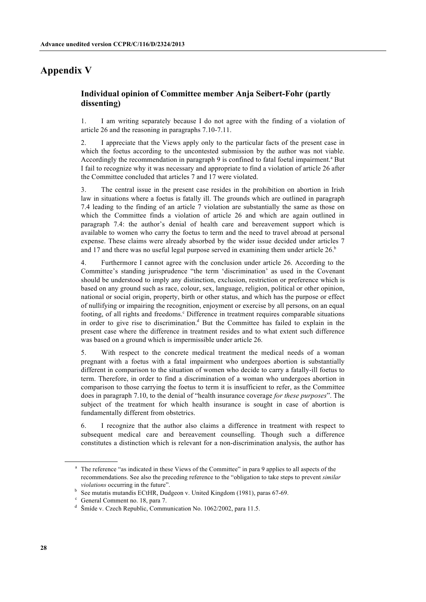# **Appendix V**

### **Individual opinion of Committee member Anja Seibert-Fohr (partly dissenting)**

1. I am writing separately because I do not agree with the finding of a violation of article 26 and the reasoning in paragraphs 7.10-7.11.

2. I appreciate that the Views apply only to the particular facts of the present case in which the foetus according to the uncontested submission by the author was not viable. Accordingly the recommendation in paragraph  $9$  is confined to fatal foetal impairment.<sup>a</sup> But I fail to recognize why it was necessary and appropriate to find a violation of article 26 after the Committee concluded that articles 7 and 17 were violated.

3. The central issue in the present case resides in the prohibition on abortion in Irish law in situations where a foetus is fatally ill. The grounds which are outlined in paragraph 7.4 leading to the finding of an article 7 violation are substantially the same as those on which the Committee finds a violation of article 26 and which are again outlined in paragraph 7.4: the author's denial of health care and bereavement support which is available to women who carry the foetus to term and the need to travel abroad at personal expense. These claims were already absorbed by the wider issue decided under articles 7 and 17 and there was no useful legal purpose served in examining them under article  $26<sup>b</sup>$ 

4. Furthermore I cannot agree with the conclusion under article 26. According to the Committee's standing jurisprudence "the term 'discrimination' as used in the Covenant should be understood to imply any distinction, exclusion, restriction or preference which is based on any ground such as race, colour, sex, language, religion, political or other opinion, national or social origin, property, birth or other status, and which has the purpose or effect of nullifying or impairing the recognition, enjoyment or exercise by all persons, on an equal footing, of all rights and freedoms.<sup>c</sup> Difference in treatment requires comparable situations in order to give rise to discrimination.<sup>d</sup> But the Committee has failed to explain in the present case where the difference in treatment resides and to what extent such difference was based on a ground which is impermissible under article 26.

5. With respect to the concrete medical treatment the medical needs of a woman pregnant with a foetus with a fatal impairment who undergoes abortion is substantially different in comparison to the situation of women who decide to carry a fatally-ill foetus to term. Therefore, in order to find a discrimination of a woman who undergoes abortion in comparison to those carrying the foetus to term it is insufficient to refer, as the Committee does in paragraph 7.10, to the denial of "health insurance coverage *for these purposes*". The subject of the treatment for which health insurance is sought in case of abortion is fundamentally different from obstetrics.

6. I recognize that the author also claims a difference in treatment with respect to subsequent medical care and bereavement counselling. Though such a difference constitutes a distinction which is relevant for a non-discrimination analysis, the author has

<sup>&</sup>lt;sup>a</sup> The reference "as indicated in these Views of the Committee" in para 9 applies to all aspects of the recommendations. See also the preceding reference to the "obligation to take steps to prevent *similar violations* occurring in the future".

b See mutatis mutandis ECtHR, Dudgeon v. United Kingdom (1981), paras 67-69.

<sup>c</sup> General Comment no. 18, para 7.

<sup>&</sup>lt;sup>d</sup> Šmíde v. Czech Republic, Communication No. 1062/2002, para 11.5.